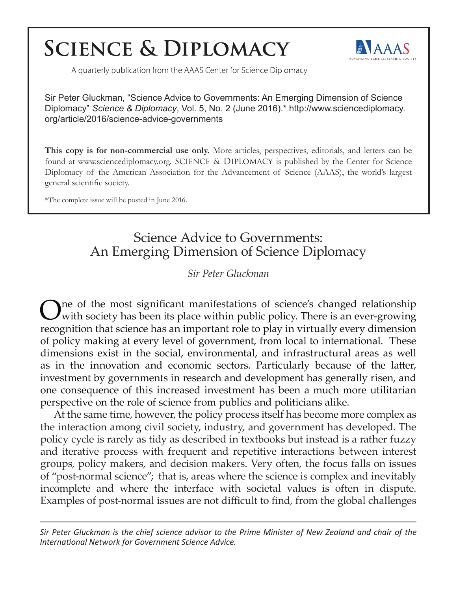# **SCIENCE & DIPLOMACY**



A quarterly publication from the AAAS Center for Science Diplomacy

Sir Peter Gluckman, "Science Advice to Governments: An Emerging Dimension of Science Diplomacy" *Science & Diplomacy*, Vol. 5, No. 2 (June 2016).\* http://www.sciencediplomacy. org/article/2016/science-advice-governments

**This copy is for non-commercial use only.** More articles, perspectives, editorials, and letters can be found at www.sciencediplomacy.org. Science & Diplomacy is published by the Center for Science Diplomacy of the American Association for the Advancement of Science (AAAS), the world's largest general scientific society.

\*The complete issue will be posted in June 2016.

# Science Advice to Governments: An Emerging Dimension of Science Diplomacy

*Sir Peter Gluckman*

One of the most significant manifestations of science's changed relationship with society has been its place within public policy. There is an ever-growing recognition that science has an important role to play in virtually every dimension of policy making at every level of government, from local to international. These dimensions exist in the social, environmental, and infrastructural areas as well as in the innovation and economic sectors. Particularly because of the latter, investment by governments in research and development has generally risen, and one consequence of this increased investment has been a much more utilitarian perspective on the role of science from publics and politicians alike.

At the same time, however, the policy process itself has become more complex as the interaction among civil society, industry, and government has developed. The policy cycle is rarely as tidy as described in textbooks but instead is a rather fuzzy and iterative process with frequent and repetitive interactions between interest groups, policy makers, and decision makers. Very often, the focus falls on issues of "post-normal science"; that is, areas where the science is complex and inevitably incomplete and where the interface with societal values is often in dispute. Examples of post-normal issues are not difficult to find, from the global challenges

*Sir Peter Gluckman is the chief science advisor to the Prime Minister of New Zealand and chair of the International Network for Government Science Advice.*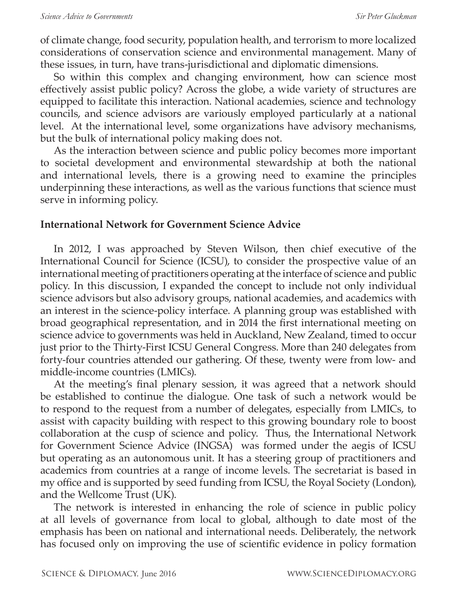of climate change, food security, population health, and terrorism to more localized considerations of conservation science and environmental management. Many of these issues, in turn, have trans-jurisdictional and diplomatic dimensions.

So within this complex and changing environment, how can science most effectively assist public policy? Across the globe, a wide variety of structures are equipped to facilitate this interaction. National academies, science and technology councils, and science advisors are variously employed particularly at a national level. At the international level, some organizations have advisory mechanisms, but the bulk of international policy making does not.

As the interaction between science and public policy becomes more important to societal development and environmental stewardship at both the national and international levels, there is a growing need to examine the principles underpinning these interactions, as well as the various functions that science must serve in informing policy.

#### **International Network for Government Science Advice**

In 2012, I was approached by Steven Wilson, then chief executive of the International Council for Science (ICSU), to consider the prospective value of an international meeting of practitioners operating at the interface of science and public policy. In this discussion, I expanded the concept to include not only individual science advisors but also advisory groups, national academies, and academics with an interest in the science-policy interface. A planning group was established with broad geographical representation, and in 2014 the first international meeting on science advice to governments was held in Auckland, New Zealand, timed to occur just prior to the Thirty-First ICSU General Congress. More than 240 delegates from forty-four countries attended our gathering. Of these, twenty were from low- and middle-income countries (LMICs).

At the meeting's final plenary session, it was agreed that a network should be established to continue the dialogue. One task of such a network would be to respond to the request from a number of delegates, especially from LMICs, to assist with capacity building with respect to this growing boundary role to boost collaboration at the cusp of science and policy. Thus, the International Network for Government Science Advice (INGSA) was formed under the aegis of ICSU but operating as an autonomous unit. It has a steering group of practitioners and academics from countries at a range of income levels. The secretariat is based in my office and is supported by seed funding from ICSU, the Royal Society (London), and the Wellcome Trust (UK).

The network is interested in enhancing the role of science in public policy at all levels of governance from local to global, although to date most of the emphasis has been on national and international needs. Deliberately, the network has focused only on improving the use of scientific evidence in policy formation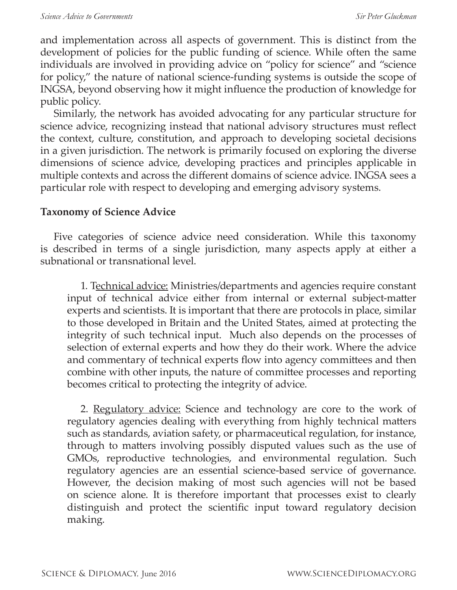and implementation across all aspects of government. This is distinct from the development of policies for the public funding of science. While often the same individuals are involved in providing advice on "policy for science" and "science for policy," the nature of national science-funding systems is outside the scope of INGSA, beyond observing how it might influence the production of knowledge for public policy.

Similarly, the network has avoided advocating for any particular structure for science advice, recognizing instead that national advisory structures must reflect the context, culture, constitution, and approach to developing societal decisions in a given jurisdiction. The network is primarily focused on exploring the diverse dimensions of science advice, developing practices and principles applicable in multiple contexts and across the different domains of science advice. INGSA sees a particular role with respect to developing and emerging advisory systems.

#### **Taxonomy of Science Advice**

Five categories of science advice need consideration. While this taxonomy is described in terms of a single jurisdiction, many aspects apply at either a subnational or transnational level.

1. Technical advice: Ministries/departments and agencies require constant input of technical advice either from internal or external subject-matter experts and scientists. It is important that there are protocols in place, similar to those developed in Britain and the United States, aimed at protecting the integrity of such technical input. Much also depends on the processes of selection of external experts and how they do their work. Where the advice and commentary of technical experts flow into agency committees and then combine with other inputs, the nature of committee processes and reporting becomes critical to protecting the integrity of advice.

2. <u>Regulatory advice:</u> Science and technology are core to the work of regulatory agencies dealing with everything from highly technical matters such as standards, aviation safety, or pharmaceutical regulation, for instance, through to matters involving possibly disputed values such as the use of GMOs, reproductive technologies, and environmental regulation. Such regulatory agencies are an essential science-based service of governance. However, the decision making of most such agencies will not be based on science alone. It is therefore important that processes exist to clearly distinguish and protect the scientific input toward regulatory decision making.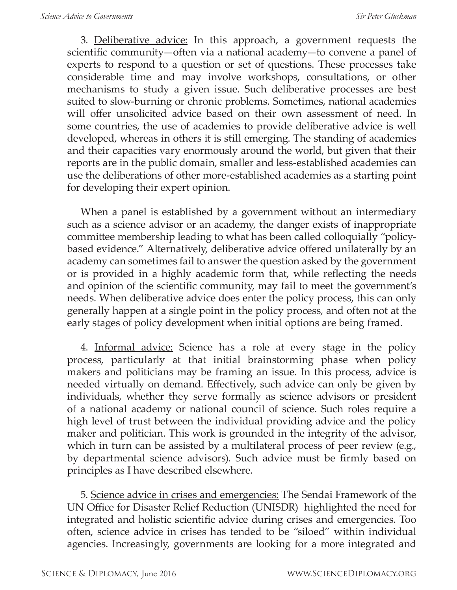3. Deliberative advice: In this approach, a government requests the scientific community—often via a national academy—to convene a panel of experts to respond to a question or set of questions. These processes take considerable time and may involve workshops, consultations, or other mechanisms to study a given issue. Such deliberative processes are best suited to slow-burning or chronic problems. Sometimes, national academies will offer unsolicited advice based on their own assessment of need. In some countries, the use of academies to provide deliberative advice is well developed, whereas in others it is still emerging. The standing of academies and their capacities vary enormously around the world, but given that their reports are in the public domain, smaller and less-established academies can use the deliberations of other more-established academies as a starting point for developing their expert opinion.

When a panel is established by a government without an intermediary such as a science advisor or an academy, the danger exists of inappropriate committee membership leading to what has been called colloquially "policybased evidence." Alternatively, deliberative advice offered unilaterally by an academy can sometimes fail to answer the question asked by the government or is provided in a highly academic form that, while reflecting the needs and opinion of the scientific community, may fail to meet the government's needs. When deliberative advice does enter the policy process, this can only generally happen at a single point in the policy process, and often not at the early stages of policy development when initial options are being framed.

4. Informal advice: Science has a role at every stage in the policy process, particularly at that initial brainstorming phase when policy makers and politicians may be framing an issue. In this process, advice is needed virtually on demand. Effectively, such advice can only be given by individuals, whether they serve formally as science advisors or president of a national academy or national council of science. Such roles require a high level of trust between the individual providing advice and the policy maker and politician. This work is grounded in the integrity of the advisor, which in turn can be assisted by a multilateral process of peer review (e.g., by departmental science advisors). Such advice must be firmly based on principles as I have described elsewhere.

5. Science advice in crises and emergencies: The Sendai Framework of the UN Office for Disaster Relief Reduction (UNISDR) highlighted the need for integrated and holistic scientific advice during crises and emergencies. Too often, science advice in crises has tended to be "siloed" within individual agencies. Increasingly, governments are looking for a more integrated and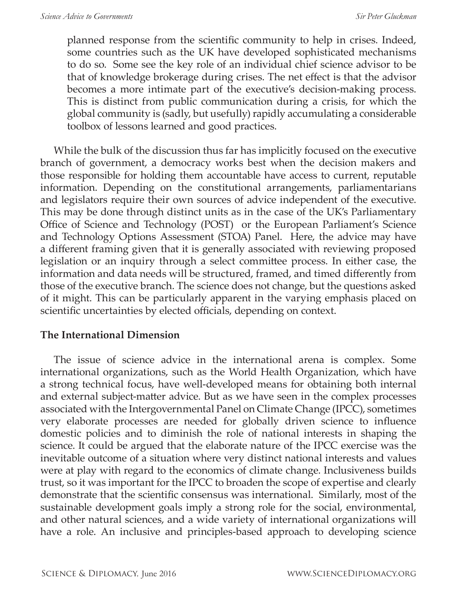planned response from the scientific community to help in crises. Indeed, some countries such as the UK have developed sophisticated mechanisms to do so. Some see the key role of an individual chief science advisor to be that of knowledge brokerage during crises. The net effect is that the advisor becomes a more intimate part of the executive's decision-making process. This is distinct from public communication during a crisis, for which the global community is (sadly, but usefully) rapidly accumulating a considerable toolbox of lessons learned and good practices.

While the bulk of the discussion thus far has implicitly focused on the executive branch of government, a democracy works best when the decision makers and those responsible for holding them accountable have access to current, reputable information. Depending on the constitutional arrangements, parliamentarians and legislators require their own sources of advice independent of the executive. This may be done through distinct units as in the case of the UK's Parliamentary Office of Science and Technology (POST) or the European Parliament's Science and Technology Options Assessment (STOA) Panel. Here, the advice may have a different framing given that it is generally associated with reviewing proposed legislation or an inquiry through a select committee process. In either case, the information and data needs will be structured, framed, and timed differently from those of the executive branch. The science does not change, but the questions asked of it might. This can be particularly apparent in the varying emphasis placed on scientific uncertainties by elected officials, depending on context.

## **The International Dimension**

The issue of science advice in the international arena is complex. Some international organizations, such as the World Health Organization, which have a strong technical focus, have well-developed means for obtaining both internal and external subject-matter advice. But as we have seen in the complex processes associated with the Intergovernmental Panel on Climate Change (IPCC), sometimes very elaborate processes are needed for globally driven science to influence domestic policies and to diminish the role of national interests in shaping the science. It could be argued that the elaborate nature of the IPCC exercise was the inevitable outcome of a situation where very distinct national interests and values were at play with regard to the economics of climate change. Inclusiveness builds trust, so it was important for the IPCC to broaden the scope of expertise and clearly demonstrate that the scientific consensus was international. Similarly, most of the sustainable development goals imply a strong role for the social, environmental, and other natural sciences, and a wide variety of international organizations will have a role. An inclusive and principles-based approach to developing science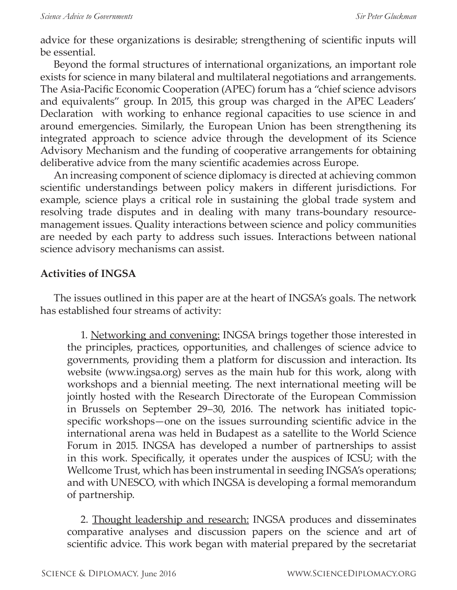advice for these organizations is desirable; strengthening of scientific inputs will be essential.

Beyond the formal structures of international organizations, an important role exists for science in many bilateral and multilateral negotiations and arrangements. The Asia-Pacific Economic Cooperation (APEC) forum has a "chief science advisors and equivalents" group. In 2015, this group was charged in the APEC Leaders' Declaration with working to enhance regional capacities to use science in and around emergencies. Similarly, the European Union has been strengthening its integrated approach to science advice through the development of its Science Advisory Mechanism and the funding of cooperative arrangements for obtaining deliberative advice from the many scientific academies across Europe.

An increasing component of science diplomacy is directed at achieving common scientific understandings between policy makers in different jurisdictions. For example, science plays a critical role in sustaining the global trade system and resolving trade disputes and in dealing with many trans-boundary resourcemanagement issues. Quality interactions between science and policy communities are needed by each party to address such issues. Interactions between national science advisory mechanisms can assist.

## **Activities of INGSA**

The issues outlined in this paper are at the heart of INGSA's goals. The network has established four streams of activity:

1. Networking and convening: INGSA brings together those interested in the principles, practices, opportunities, and challenges of science advice to governments, providing them a platform for discussion and interaction. Its website (www.ingsa.org) serves as the main hub for this work, along with workshops and a biennial meeting. The next international meeting will be jointly hosted with the Research Directorate of the European Commission in Brussels on September 29–30, 2016. The network has initiated topicspecific workshops—one on the issues surrounding scientific advice in the international arena was held in Budapest as a satellite to the World Science Forum in 2015. INGSA has developed a number of partnerships to assist in this work. Specifically, it operates under the auspices of ICSU; with the Wellcome Trust, which has been instrumental in seeding INGSA's operations; and with UNESCO, with which INGSA is developing a formal memorandum of partnership.

2. Thought leadership and research: INGSA produces and disseminates comparative analyses and discussion papers on the science and art of scientific advice. This work began with material prepared by the secretariat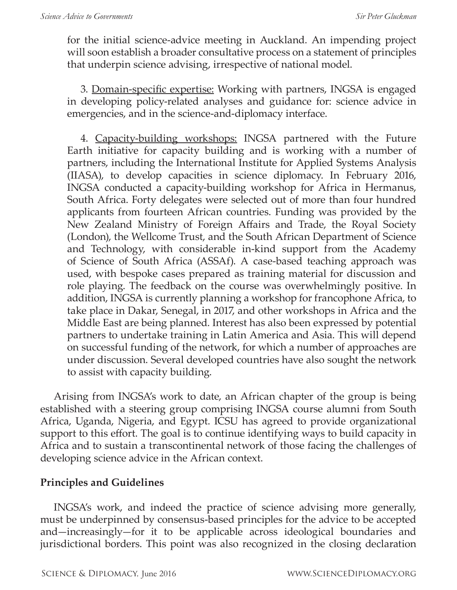for the initial science-advice meeting in Auckland. An impending project will soon establish a broader consultative process on a statement of principles that underpin science advising, irrespective of national model.

3. Domain-specific expertise: Working with partners, INGSA is engaged in developing policy-related analyses and guidance for: science advice in emergencies, and in the science-and-diplomacy interface.

4. Capacity-building workshops: INGSA partnered with the Future Earth initiative for capacity building and is working with a number of partners, including the International Institute for Applied Systems Analysis (IIASA), to develop capacities in science diplomacy. In February 2016, INGSA conducted a capacity-building workshop for Africa in Hermanus, South Africa. Forty delegates were selected out of more than four hundred applicants from fourteen African countries. Funding was provided by the New Zealand Ministry of Foreign Affairs and Trade, the Royal Society (London), the Wellcome Trust, and the South African Department of Science and Technology, with considerable in-kind support from the Academy of Science of South Africa (ASSAf). A case-based teaching approach was used, with bespoke cases prepared as training material for discussion and role playing. The feedback on the course was overwhelmingly positive. In addition, INGSA is currently planning a workshop for francophone Africa, to take place in Dakar, Senegal, in 2017, and other workshops in Africa and the Middle East are being planned. Interest has also been expressed by potential partners to undertake training in Latin America and Asia. This will depend on successful funding of the network, for which a number of approaches are under discussion. Several developed countries have also sought the network to assist with capacity building.

Arising from INGSA's work to date, an African chapter of the group is being established with a steering group comprising INGSA course alumni from South Africa, Uganda, Nigeria, and Egypt. ICSU has agreed to provide organizational support to this effort. The goal is to continue identifying ways to build capacity in Africa and to sustain a transcontinental network of those facing the challenges of developing science advice in the African context.

## **Principles and Guidelines**

INGSA's work, and indeed the practice of science advising more generally, must be underpinned by consensus-based principles for the advice to be accepted and—increasingly—for it to be applicable across ideological boundaries and jurisdictional borders. This point was also recognized in the closing declaration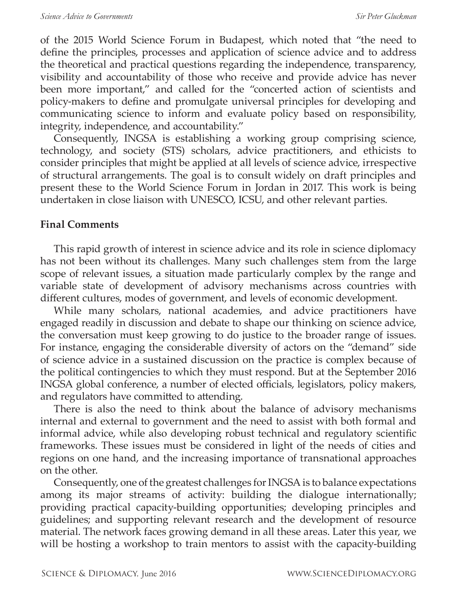of the 2015 World Science Forum in Budapest, which noted that "the need to define the principles, processes and application of science advice and to address the theoretical and practical questions regarding the independence, transparency, visibility and accountability of those who receive and provide advice has never been more important," and called for the "concerted action of scientists and policy-makers to define and promulgate universal principles for developing and communicating science to inform and evaluate policy based on responsibility, integrity, independence, and accountability."

Consequently, INGSA is establishing a working group comprising science, technology, and society (STS) scholars, advice practitioners, and ethicists to consider principles that might be applied at all levels of science advice, irrespective of structural arrangements. The goal is to consult widely on draft principles and present these to the World Science Forum in Jordan in 2017. This work is being undertaken in close liaison with UNESCO, ICSU, and other relevant parties.

## **Final Comments**

This rapid growth of interest in science advice and its role in science diplomacy has not been without its challenges. Many such challenges stem from the large scope of relevant issues, a situation made particularly complex by the range and variable state of development of advisory mechanisms across countries with different cultures, modes of government, and levels of economic development.

While many scholars, national academies, and advice practitioners have engaged readily in discussion and debate to shape our thinking on science advice, the conversation must keep growing to do justice to the broader range of issues. For instance, engaging the considerable diversity of actors on the "demand" side of science advice in a sustained discussion on the practice is complex because of the political contingencies to which they must respond. But at the September 2016 INGSA global conference, a number of elected officials, legislators, policy makers, and regulators have committed to attending.

There is also the need to think about the balance of advisory mechanisms internal and external to government and the need to assist with both formal and informal advice, while also developing robust technical and regulatory scientific frameworks. These issues must be considered in light of the needs of cities and regions on one hand, and the increasing importance of transnational approaches on the other.

Consequently, one of the greatest challenges for INGSA is to balance expectations among its major streams of activity: building the dialogue internationally; providing practical capacity-building opportunities; developing principles and guidelines; and supporting relevant research and the development of resource material. The network faces growing demand in all these areas. Later this year, we will be hosting a workshop to train mentors to assist with the capacity-building